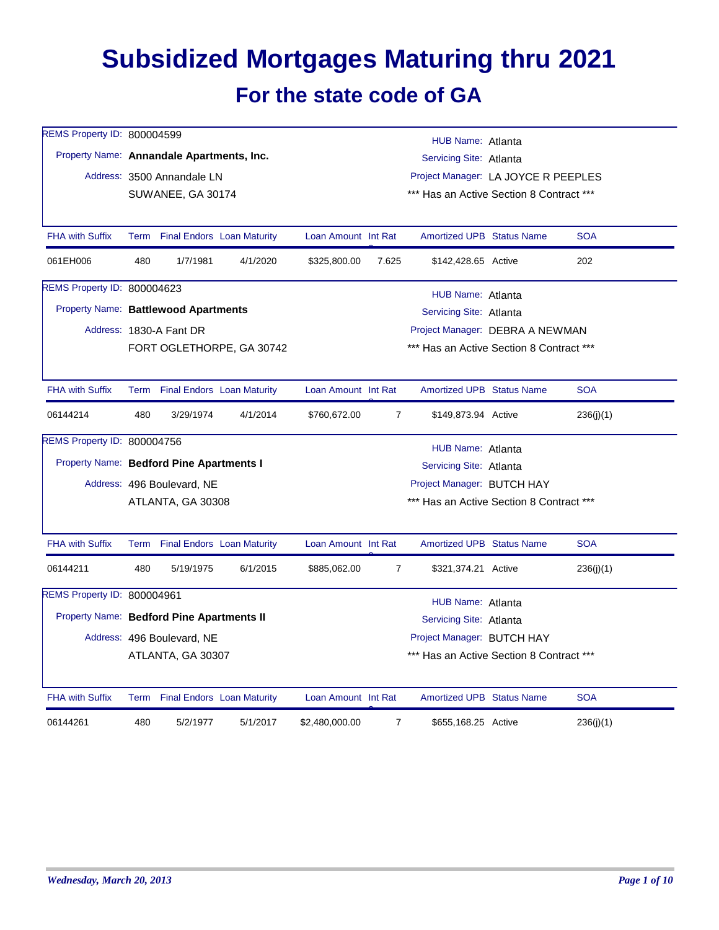## **Subsidized Mortgages Maturing thru 2021 For the state code of GA**

| REMS Property ID: 800004599               |                   |                                 |                                   |                                          |                                          | HUB Name: Atlanta                        |  |            |  |  |
|-------------------------------------------|-------------------|---------------------------------|-----------------------------------|------------------------------------------|------------------------------------------|------------------------------------------|--|------------|--|--|
| Property Name: Annandale Apartments, Inc. |                   |                                 |                                   |                                          |                                          | Servicing Site: Atlanta                  |  |            |  |  |
|                                           |                   | Address: 3500 Annandale LN      |                                   |                                          |                                          | Project Manager: LA JOYCE R PEEPLES      |  |            |  |  |
|                                           |                   | SUWANEE, GA 30174               |                                   |                                          | *** Has an Active Section 8 Contract *** |                                          |  |            |  |  |
|                                           |                   |                                 |                                   |                                          |                                          |                                          |  |            |  |  |
| <b>FHA with Suffix</b>                    |                   | Term Final Endors Loan Maturity |                                   | Loan Amount Int Rat                      |                                          | Amortized UPB Status Name                |  | <b>SOA</b> |  |  |
| 061EH006                                  | 480               | 1/7/1981                        | 4/1/2020                          | \$325,800.00                             | 7.625                                    | \$142,428.65 Active                      |  | 202        |  |  |
| REMS Property ID: 800004623               |                   |                                 |                                   |                                          |                                          | HUB Name: Atlanta                        |  |            |  |  |
| Property Name: Battlewood Apartments      |                   |                                 |                                   |                                          |                                          | Servicing Site: Atlanta                  |  |            |  |  |
|                                           |                   | Address: 1830-A Fant DR         |                                   |                                          |                                          | Project Manager: DEBRA A NEWMAN          |  |            |  |  |
|                                           |                   |                                 | FORT OGLETHORPE, GA 30742         |                                          |                                          | *** Has an Active Section 8 Contract *** |  |            |  |  |
|                                           |                   |                                 |                                   |                                          |                                          |                                          |  |            |  |  |
| <b>FHA with Suffix</b>                    | Term              |                                 | <b>Final Endors</b> Loan Maturity | Loan Amount Int Rat                      |                                          | <b>Amortized UPB Status Name</b>         |  | <b>SOA</b> |  |  |
| 06144214                                  | 480               | 3/29/1974                       | 4/1/2014                          | \$760,672.00                             | $\overline{7}$                           | \$149,873.94 Active                      |  | 236(j)(1)  |  |  |
| REMS Property ID: 800004756               | HUB Name: Atlanta |                                 |                                   |                                          |                                          |                                          |  |            |  |  |
| Property Name: Bedford Pine Apartments I  |                   |                                 |                                   |                                          |                                          | Servicing Site: Atlanta                  |  |            |  |  |
|                                           |                   | Address: 496 Boulevard, NE      |                                   |                                          |                                          | Project Manager: BUTCH HAY               |  |            |  |  |
|                                           |                   | ATLANTA, GA 30308               |                                   | *** Has an Active Section 8 Contract *** |                                          |                                          |  |            |  |  |
|                                           |                   |                                 |                                   |                                          |                                          |                                          |  |            |  |  |
| <b>FHA with Suffix</b>                    |                   | Term Final Endors Loan Maturity |                                   | Loan Amount Int Rat                      |                                          | <b>Amortized UPB Status Name</b>         |  | <b>SOA</b> |  |  |
| 06144211                                  | 480               | 5/19/1975                       | 6/1/2015                          | \$885,062.00                             | $\overline{7}$                           | \$321,374.21 Active                      |  | 236(i)(1)  |  |  |
| REMS Property ID: 800004961               |                   |                                 |                                   |                                          |                                          | HUB Name: Atlanta                        |  |            |  |  |
| Property Name: Bedford Pine Apartments II |                   |                                 |                                   |                                          |                                          | Servicing Site: Atlanta                  |  |            |  |  |
|                                           |                   | Address: 496 Boulevard, NE      |                                   |                                          |                                          | Project Manager: BUTCH HAY               |  |            |  |  |
|                                           |                   | ATLANTA, GA 30307               |                                   |                                          |                                          | *** Has an Active Section 8 Contract *** |  |            |  |  |
|                                           |                   |                                 |                                   |                                          |                                          |                                          |  |            |  |  |
| <b>FHA with Suffix</b>                    |                   | Term Final Endors Loan Maturity |                                   | Loan Amount Int Rat                      |                                          | <b>Amortized UPB Status Name</b>         |  | <b>SOA</b> |  |  |
| 06144261                                  | 480               | 5/2/1977                        | 5/1/2017                          | \$2,480,000.00                           | $\overline{7}$                           | \$655,168.25 Active                      |  | 236(j)(1)  |  |  |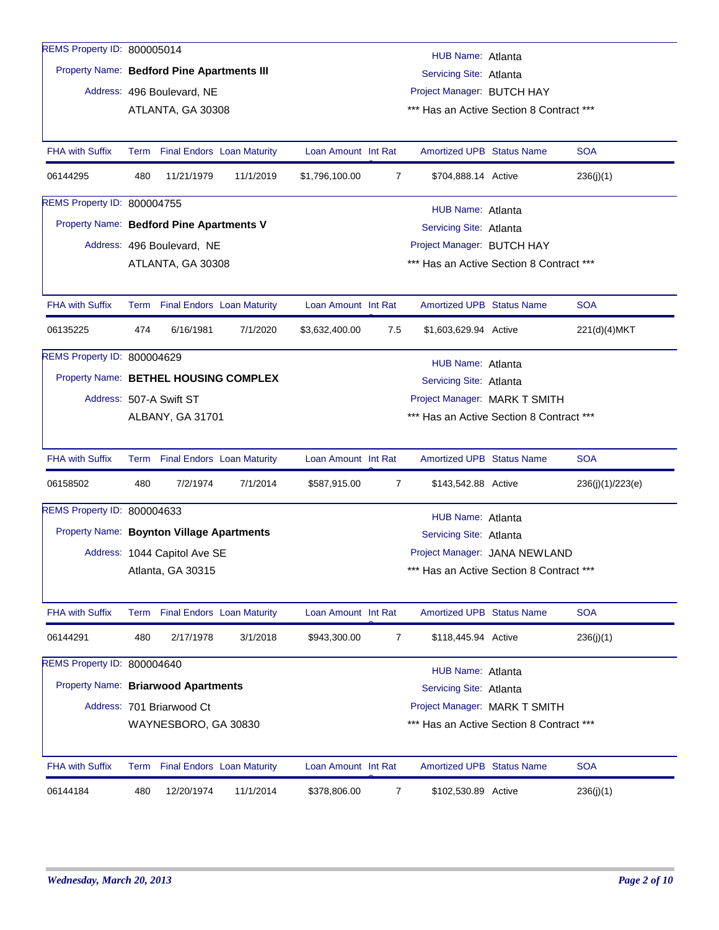| REMS Property ID: 800005014 |                                            |           |                     |                               | HUB Name: Atlanta                        |  |                  |  |  |
|-----------------------------|--------------------------------------------|-----------|---------------------|-------------------------------|------------------------------------------|--|------------------|--|--|
|                             | Property Name: Bedford Pine Apartments III |           |                     |                               | Servicing Site: Atlanta                  |  |                  |  |  |
|                             | Address: 496 Boulevard, NE                 |           |                     |                               | Project Manager: BUTCH HAY               |  |                  |  |  |
|                             | ATLANTA, GA 30308                          |           |                     |                               | *** Has an Active Section 8 Contract *** |  |                  |  |  |
|                             |                                            |           |                     |                               |                                          |  |                  |  |  |
| <b>FHA with Suffix</b>      | Term Final Endors Loan Maturity            |           | Loan Amount Int Rat |                               | <b>Amortized UPB Status Name</b>         |  | <b>SOA</b>       |  |  |
| 06144295                    | 480<br>11/21/1979                          | 11/1/2019 | \$1,796,100.00      | $\overline{7}$                | \$704,888.14 Active                      |  | 236(j)(1)        |  |  |
| REMS Property ID: 800004755 |                                            |           |                     |                               | HUB Name: Atlanta                        |  |                  |  |  |
|                             | Property Name: Bedford Pine Apartments V   |           |                     |                               | Servicing Site: Atlanta                  |  |                  |  |  |
|                             | Address: 496 Boulevard, NE                 |           |                     |                               | Project Manager: BUTCH HAY               |  |                  |  |  |
|                             | ATLANTA, GA 30308                          |           |                     |                               | *** Has an Active Section 8 Contract *** |  |                  |  |  |
|                             |                                            |           |                     |                               |                                          |  |                  |  |  |
| <b>FHA with Suffix</b>      | Term Final Endors Loan Maturity            |           | Loan Amount Int Rat |                               | <b>Amortized UPB Status Name</b>         |  | <b>SOA</b>       |  |  |
| 06135225                    | 474<br>6/16/1981                           | 7/1/2020  | \$3,632,400.00      | 7.5                           | \$1,603,629.94 Active                    |  | 221(d)(4) MKT    |  |  |
| REMS Property ID: 800004629 | HUB Name: Atlanta                          |           |                     |                               |                                          |  |                  |  |  |
|                             | Property Name: BETHEL HOUSING COMPLEX      |           |                     |                               | Servicing Site: Atlanta                  |  |                  |  |  |
|                             | Address: 507-A Swift ST                    |           |                     | Project Manager: MARK T SMITH |                                          |  |                  |  |  |
|                             | ALBANY, GA 31701                           |           |                     |                               | *** Has an Active Section 8 Contract *** |  |                  |  |  |
|                             |                                            |           |                     |                               |                                          |  |                  |  |  |
| <b>FHA with Suffix</b>      | Term Final Endors Loan Maturity            |           | Loan Amount Int Rat |                               | <b>Amortized UPB Status Name</b>         |  | <b>SOA</b>       |  |  |
| 06158502                    | 480<br>7/2/1974                            | 7/1/2014  | \$587,915.00        | 7                             | \$143,542.88 Active                      |  | 236(j)(1)/223(e) |  |  |
| REMS Property ID: 800004633 |                                            |           |                     |                               | HUB Name: Atlanta                        |  |                  |  |  |
|                             | Property Name: Boynton Village Apartments  |           |                     |                               | Servicing Site: Atlanta                  |  |                  |  |  |
|                             | Address: 1044 Capitol Ave SE               |           |                     |                               | Project Manager: JANA NEWLAND            |  |                  |  |  |
|                             | Atlanta, GA 30315                          |           |                     |                               | *** Has an Active Section 8 Contract *** |  |                  |  |  |
|                             |                                            |           |                     |                               |                                          |  |                  |  |  |
| FHA with Suffix             | Term Final Endors Loan Maturity            |           | Loan Amount Int Rat |                               | <b>Amortized UPB Status Name</b>         |  | <b>SOA</b>       |  |  |
| 06144291                    | 480<br>2/17/1978                           | 3/1/2018  | \$943,300.00        | 7                             | \$118,445.94 Active                      |  | 236(j)(1)        |  |  |
| REMS Property ID: 800004640 |                                            |           |                     |                               | <b>HUB Name: Atlanta</b>                 |  |                  |  |  |
|                             | Property Name: Briarwood Apartments        |           |                     |                               | Servicing Site: Atlanta                  |  |                  |  |  |
|                             | Address: 701 Briarwood Ct                  |           |                     |                               | Project Manager: MARK T SMITH            |  |                  |  |  |
|                             | WAYNESBORO, GA 30830                       |           |                     |                               | *** Has an Active Section 8 Contract *** |  |                  |  |  |
|                             |                                            |           |                     |                               |                                          |  |                  |  |  |
| <b>FHA with Suffix</b>      | Term Final Endors Loan Maturity            |           | Loan Amount Int Rat |                               | <b>Amortized UPB Status Name</b>         |  | <b>SOA</b>       |  |  |
| 06144184                    | 480<br>12/20/1974                          | 11/1/2014 | \$378,806.00        | 7                             | \$102,530.89 Active                      |  | 236(j)(1)        |  |  |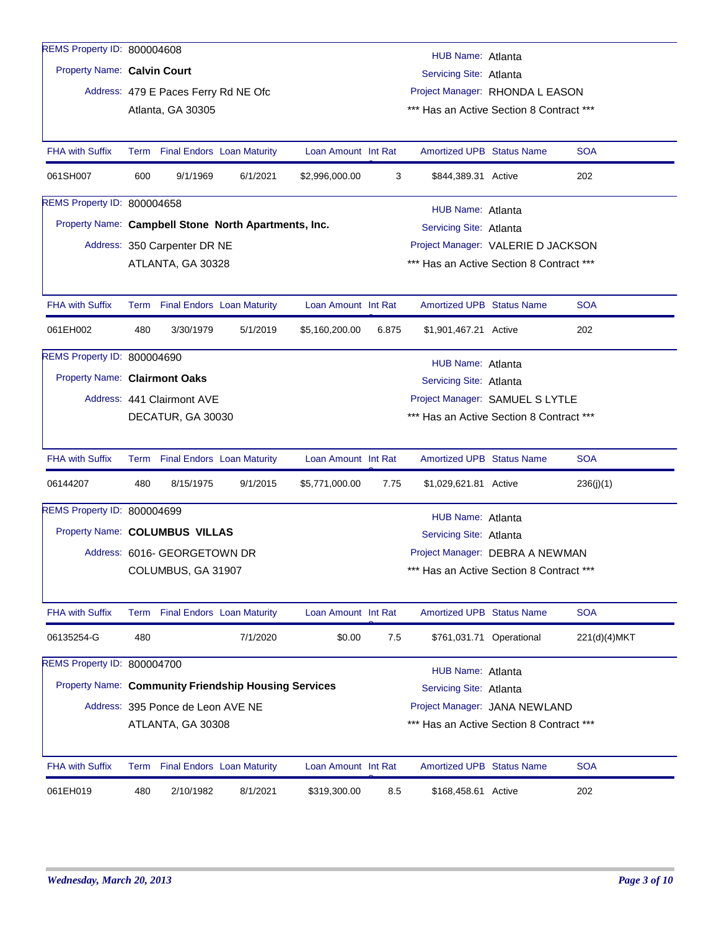| REMS Property ID: 800004608   |                                                               |                                                             |          |                     |       | HUB Name: Atlanta                        |                          |              |  |
|-------------------------------|---------------------------------------------------------------|-------------------------------------------------------------|----------|---------------------|-------|------------------------------------------|--------------------------|--------------|--|
| Property Name: Calvin Court   |                                                               |                                                             |          |                     |       | Servicing Site: Atlanta                  |                          |              |  |
|                               |                                                               | Address: 479 E Paces Ferry Rd NE Ofc                        |          |                     |       | Project Manager: RHONDA L EASON          |                          |              |  |
|                               |                                                               | Atlanta, GA 30305                                           |          |                     |       | *** Has an Active Section 8 Contract *** |                          |              |  |
|                               |                                                               |                                                             |          |                     |       |                                          |                          |              |  |
| <b>FHA with Suffix</b>        |                                                               | Term Final Endors Loan Maturity                             |          | Loan Amount Int Rat |       | <b>Amortized UPB Status Name</b>         |                          | <b>SOA</b>   |  |
| 061SH007                      | 600                                                           | 9/1/1969                                                    | 6/1/2021 | \$2,996,000.00      | 3     | \$844,389.31 Active                      |                          | 202          |  |
| REMS Property ID: 800004658   |                                                               |                                                             |          |                     |       | HUB Name: Atlanta                        |                          |              |  |
|                               |                                                               | Property Name: Campbell Stone North Apartments, Inc.        |          |                     |       | Servicing Site: Atlanta                  |                          |              |  |
|                               |                                                               | Address: 350 Carpenter DR NE                                |          |                     |       | Project Manager: VALERIE D JACKSON       |                          |              |  |
|                               |                                                               | ATLANTA, GA 30328                                           |          |                     |       | *** Has an Active Section 8 Contract *** |                          |              |  |
|                               |                                                               |                                                             |          |                     |       |                                          |                          |              |  |
| <b>FHA with Suffix</b>        |                                                               | Term Final Endors Loan Maturity                             |          | Loan Amount Int Rat |       | <b>Amortized UPB Status Name</b>         |                          | <b>SOA</b>   |  |
| 061EH002                      | 480                                                           | 3/30/1979                                                   | 5/1/2019 | \$5,160,200.00      | 6.875 | \$1,901,467.21 Active                    |                          | 202          |  |
| REMS Property ID: 800004690   |                                                               |                                                             |          |                     |       | HUB Name: Atlanta                        |                          |              |  |
| Property Name: Clairmont Oaks |                                                               |                                                             |          |                     |       | Servicing Site: Atlanta                  |                          |              |  |
|                               | Address: 441 Clairmont AVE<br>Project Manager: SAMUEL S LYTLE |                                                             |          |                     |       |                                          |                          |              |  |
|                               | *** Has an Active Section 8 Contract ***<br>DECATUR, GA 30030 |                                                             |          |                     |       |                                          |                          |              |  |
|                               |                                                               |                                                             |          |                     |       |                                          |                          |              |  |
| <b>FHA with Suffix</b>        |                                                               | Term Final Endors Loan Maturity                             |          | Loan Amount Int Rat |       | <b>Amortized UPB Status Name</b>         |                          | <b>SOA</b>   |  |
| 06144207                      | 480                                                           | 8/15/1975                                                   | 9/1/2015 | \$5,771,000.00      | 7.75  | \$1,029,621.81 Active                    |                          | 236(j)(1)    |  |
| REMS Property ID: 800004699   |                                                               |                                                             |          |                     |       | HUB Name: Atlanta                        |                          |              |  |
|                               |                                                               | Property Name: COLUMBUS VILLAS                              |          |                     |       | Servicing Site: Atlanta                  |                          |              |  |
|                               |                                                               | Address: 6016- GEORGETOWN DR                                |          |                     |       | Project Manager: DEBRA A NEWMAN          |                          |              |  |
|                               |                                                               | COLUMBUS, GA 31907                                          |          |                     |       | *** Has an Active Section 8 Contract *** |                          |              |  |
|                               |                                                               |                                                             |          |                     |       |                                          |                          |              |  |
| <b>FHA with Suffix</b>        |                                                               | Term Final Endors Loan Maturity                             |          | Loan Amount Int Rat |       | <b>Amortized UPB Status Name</b>         |                          | <b>SOA</b>   |  |
| 06135254-G                    | 480                                                           |                                                             | 7/1/2020 | \$0.00              | 7.5   |                                          | \$761,031.71 Operational | 221(d)(4)MKT |  |
| REMS Property ID: 800004700   |                                                               |                                                             |          |                     |       | <b>HUB Name: Atlanta</b>                 |                          |              |  |
|                               |                                                               | <b>Property Name: Community Friendship Housing Services</b> |          |                     |       | Servicing Site: Atlanta                  |                          |              |  |
|                               |                                                               | Address: 395 Ponce de Leon AVE NE                           |          |                     |       | Project Manager: JANA NEWLAND            |                          |              |  |
|                               |                                                               |                                                             |          |                     |       | *** Has an Active Section 8 Contract *** |                          |              |  |
|                               |                                                               | ATLANTA, GA 30308                                           |          |                     |       |                                          |                          |              |  |
| <b>FHA with Suffix</b>        |                                                               | Term Final Endors Loan Maturity                             |          | Loan Amount Int Rat |       | <b>Amortized UPB Status Name</b>         |                          | <b>SOA</b>   |  |
| 061EH019                      | 480                                                           | 2/10/1982                                                   | 8/1/2021 | \$319,300.00        | 8.5   | \$168,458.61 Active                      |                          | 202          |  |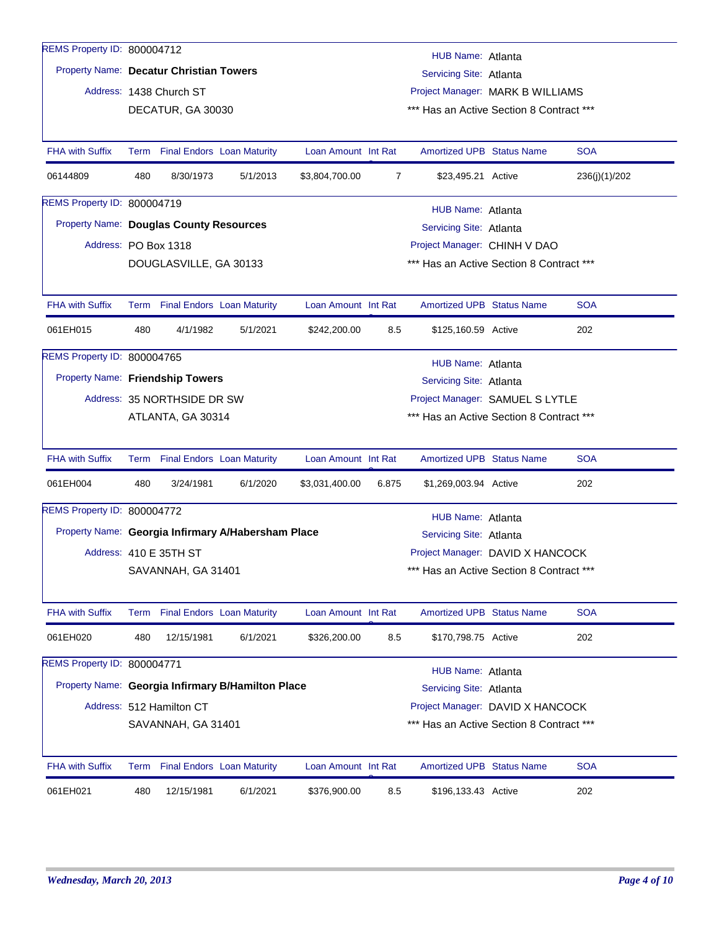| REMS Property ID: 800004712                    |                                                               |                                                             |                                                    |                     |                |                                          |  |               |  |  |
|------------------------------------------------|---------------------------------------------------------------|-------------------------------------------------------------|----------------------------------------------------|---------------------|----------------|------------------------------------------|--|---------------|--|--|
|                                                |                                                               |                                                             |                                                    |                     |                | HUB Name: Atlanta                        |  |               |  |  |
| Property Name: Decatur Christian Towers        |                                                               |                                                             |                                                    |                     |                | Servicing Site: Atlanta                  |  |               |  |  |
|                                                |                                                               | Address: 1438 Church ST                                     |                                                    |                     |                | Project Manager: MARK B WILLIAMS         |  |               |  |  |
|                                                |                                                               | DECATUR, GA 30030                                           |                                                    |                     |                | *** Has an Active Section 8 Contract *** |  |               |  |  |
|                                                |                                                               |                                                             |                                                    |                     |                |                                          |  |               |  |  |
| <b>FHA with Suffix</b>                         |                                                               |                                                             | Term Final Endors Loan Maturity                    | Loan Amount Int Rat |                | <b>Amortized UPB Status Name</b>         |  | <b>SOA</b>    |  |  |
| 06144809                                       | 480                                                           | 8/30/1973                                                   | 5/1/2013                                           | \$3,804,700.00      | $\overline{7}$ | \$23,495.21 Active                       |  | 236(j)(1)/202 |  |  |
| REMS Property ID: 800004719                    |                                                               |                                                             |                                                    |                     |                | HUB Name: Atlanta                        |  |               |  |  |
| <b>Property Name: Douglas County Resources</b> |                                                               |                                                             |                                                    |                     |                | Servicing Site: Atlanta                  |  |               |  |  |
| Address: PO Box 1318                           |                                                               |                                                             |                                                    |                     |                | Project Manager: CHINH V DAO             |  |               |  |  |
|                                                |                                                               | DOUGLASVILLE, GA 30133                                      |                                                    |                     |                | *** Has an Active Section 8 Contract *** |  |               |  |  |
|                                                |                                                               |                                                             |                                                    |                     |                |                                          |  |               |  |  |
| <b>FHA with Suffix</b>                         |                                                               | Term Final Endors Loan Maturity                             |                                                    | Loan Amount Int Rat |                | <b>Amortized UPB Status Name</b>         |  | <b>SOA</b>    |  |  |
| 061EH015                                       | 480                                                           | 4/1/1982                                                    | 5/1/2021                                           | \$242,200.00        | 8.5            | \$125,160.59 Active                      |  | 202           |  |  |
| REMS Property ID: 800004765                    |                                                               |                                                             |                                                    |                     |                | HUB Name: Atlanta                        |  |               |  |  |
|                                                |                                                               | Property Name: Friendship Towers<br>Servicing Site: Atlanta |                                                    |                     |                |                                          |  |               |  |  |
|                                                |                                                               | Address: 35 NORTHSIDE DR SW                                 |                                                    |                     |                | Project Manager: SAMUEL S LYTLE          |  |               |  |  |
|                                                | *** Has an Active Section 8 Contract ***<br>ATLANTA, GA 30314 |                                                             |                                                    |                     |                |                                          |  |               |  |  |
|                                                |                                                               |                                                             |                                                    |                     |                |                                          |  |               |  |  |
| <b>FHA with Suffix</b>                         |                                                               |                                                             | Term Final Endors Loan Maturity                    | Loan Amount Int Rat |                | <b>Amortized UPB Status Name</b>         |  | <b>SOA</b>    |  |  |
| 061EH004                                       | 480                                                           | 3/24/1981                                                   | 6/1/2020                                           | \$3,031,400.00      | 6.875          | \$1,269,003.94 Active                    |  | 202           |  |  |
| REMS Property ID: 800004772                    |                                                               |                                                             |                                                    |                     |                | <b>HUB Name: Atlanta</b>                 |  |               |  |  |
|                                                |                                                               |                                                             | Property Name: Georgia Infirmary A/Habersham Place |                     |                | Servicing Site: Atlanta                  |  |               |  |  |
|                                                |                                                               | Address: 410 E 35TH ST                                      |                                                    |                     |                | Project Manager: DAVID X HANCOCK         |  |               |  |  |
|                                                |                                                               | SAVANNAH, GA 31401                                          |                                                    |                     |                | *** Has an Active Section 8 Contract *** |  |               |  |  |
|                                                |                                                               |                                                             |                                                    |                     |                |                                          |  |               |  |  |
| <b>FHA with Suffix</b>                         |                                                               |                                                             | Term Final Endors Loan Maturity                    | Loan Amount Int Rat |                | <b>Amortized UPB Status Name</b>         |  | <b>SOA</b>    |  |  |
| 061EH020                                       | 480                                                           | 12/15/1981                                                  | 6/1/2021                                           | \$326,200.00        | 8.5            | \$170,798.75 Active                      |  | 202           |  |  |
| REMS Property ID: 800004771                    |                                                               |                                                             |                                                    |                     |                | HUB Name: Atlanta                        |  |               |  |  |
|                                                |                                                               |                                                             | Property Name: Georgia Infirmary B/Hamilton Place  |                     |                | Servicing Site: Atlanta                  |  |               |  |  |
|                                                |                                                               | Address: 512 Hamilton CT                                    |                                                    |                     |                | Project Manager: DAVID X HANCOCK         |  |               |  |  |
|                                                |                                                               | SAVANNAH, GA 31401                                          |                                                    |                     |                | *** Has an Active Section 8 Contract *** |  |               |  |  |
|                                                |                                                               |                                                             |                                                    |                     |                |                                          |  |               |  |  |
| <b>FHA with Suffix</b>                         | Term                                                          |                                                             | <b>Final Endors</b> Loan Maturity                  | Loan Amount Int Rat |                | <b>Amortized UPB Status Name</b>         |  | <b>SOA</b>    |  |  |
| 061EH021                                       | 480                                                           | 12/15/1981                                                  | 6/1/2021                                           | \$376,900.00        | 8.5            | \$196,133.43 Active                      |  | 202           |  |  |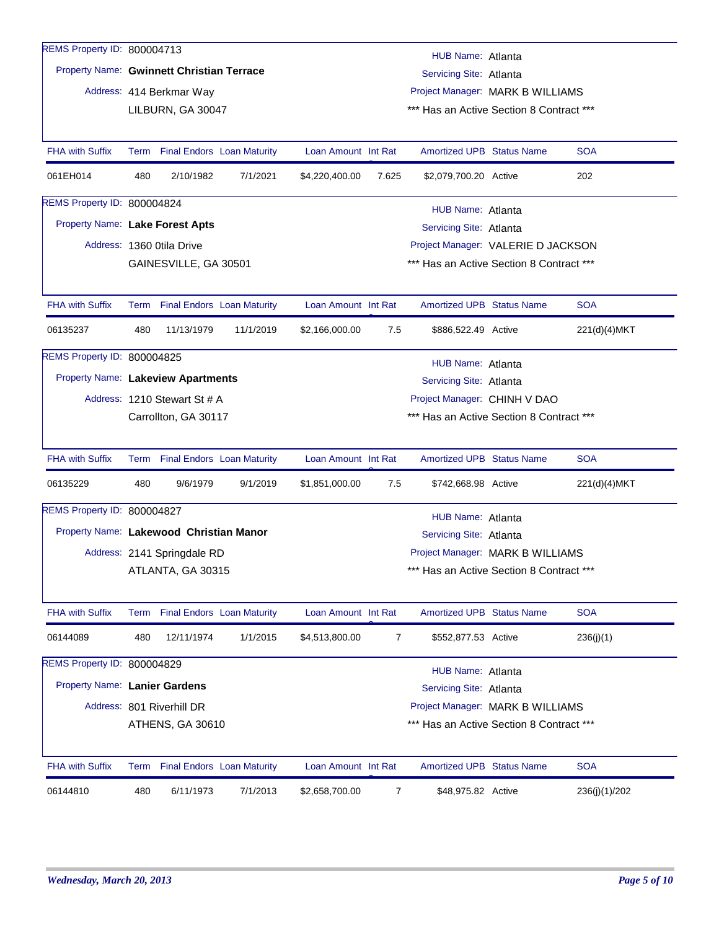| REMS Property ID: 800004713               |      |                                               |                                   |                     |       |                                                                              |  |               |  |  |
|-------------------------------------------|------|-----------------------------------------------|-----------------------------------|---------------------|-------|------------------------------------------------------------------------------|--|---------------|--|--|
| Property Name: Gwinnett Christian Terrace |      |                                               |                                   |                     |       | HUB Name: Atlanta                                                            |  |               |  |  |
|                                           |      |                                               |                                   |                     |       | Servicing Site: Atlanta                                                      |  |               |  |  |
|                                           |      | Address: 414 Berkmar Way<br>LILBURN, GA 30047 |                                   |                     |       | Project Manager: MARK B WILLIAMS<br>*** Has an Active Section 8 Contract *** |  |               |  |  |
|                                           |      |                                               |                                   |                     |       |                                                                              |  |               |  |  |
| <b>FHA with Suffix</b>                    |      | Term Final Endors Loan Maturity               |                                   | Loan Amount Int Rat |       | <b>Amortized UPB Status Name</b>                                             |  | <b>SOA</b>    |  |  |
| 061EH014                                  | 480  | 2/10/1982                                     | 7/1/2021                          | \$4,220,400.00      | 7.625 | \$2,079,700.20 Active                                                        |  | 202           |  |  |
| REMS Property ID: 800004824               |      |                                               |                                   |                     |       | HUB Name: Atlanta                                                            |  |               |  |  |
| Property Name: Lake Forest Apts           |      |                                               |                                   |                     |       | Servicing Site: Atlanta                                                      |  |               |  |  |
|                                           |      | Address: 1360 Otila Drive                     |                                   |                     |       | Project Manager: VALERIE D JACKSON                                           |  |               |  |  |
|                                           |      | GAINESVILLE, GA 30501                         |                                   |                     |       | *** Has an Active Section 8 Contract ***                                     |  |               |  |  |
|                                           |      |                                               |                                   |                     |       |                                                                              |  |               |  |  |
| <b>FHA with Suffix</b>                    |      | Term Final Endors Loan Maturity               |                                   | Loan Amount Int Rat |       | <b>Amortized UPB Status Name</b>                                             |  | <b>SOA</b>    |  |  |
| 06135237                                  | 480  | 11/13/1979                                    | 11/1/2019                         | \$2,166,000.00      | 7.5   | \$886,522.49 Active                                                          |  | 221(d)(4)MKT  |  |  |
| REMS Property ID: 800004825               |      | HUB Name: Atlanta                             |                                   |                     |       |                                                                              |  |               |  |  |
| Property Name: Lakeview Apartments        |      |                                               |                                   |                     |       | Servicing Site: Atlanta                                                      |  |               |  |  |
|                                           |      | Address: 1210 Stewart St # A                  |                                   |                     |       | Project Manager: CHINH V DAO                                                 |  |               |  |  |
|                                           |      | Carrollton, GA 30117                          |                                   |                     |       | *** Has an Active Section 8 Contract ***                                     |  |               |  |  |
| <b>FHA with Suffix</b>                    |      | Term Final Endors Loan Maturity               |                                   | Loan Amount Int Rat |       | <b>Amortized UPB Status Name</b>                                             |  | <b>SOA</b>    |  |  |
| 06135229                                  | 480  | 9/6/1979                                      | 9/1/2019                          | \$1,851,000.00      | 7.5   | \$742,668.98 Active                                                          |  | 221(d)(4)MKT  |  |  |
| REMS Property ID: 800004827               |      |                                               |                                   |                     |       | HUB Name: Atlanta                                                            |  |               |  |  |
| Property Name: Lakewood Christian Manor   |      |                                               |                                   |                     |       | Servicing Site: Atlanta                                                      |  |               |  |  |
|                                           |      | Address: 2141 Springdale RD                   |                                   |                     |       | Project Manager: MARK B WILLIAMS                                             |  |               |  |  |
|                                           |      | ATLANTA, GA 30315                             |                                   |                     |       | *** Has an Active Section 8 Contract ***                                     |  |               |  |  |
|                                           |      |                                               |                                   |                     |       |                                                                              |  |               |  |  |
| <b>FHA with Suffix</b>                    |      | Term Final Endors Loan Maturity               |                                   | Loan Amount Int Rat |       | <b>Amortized UPB Status Name</b>                                             |  | <b>SOA</b>    |  |  |
| 06144089                                  | 480  | 12/11/1974                                    | 1/1/2015                          | \$4,513,800.00      | 7     | \$552,877.53 Active                                                          |  | 236(j)(1)     |  |  |
| REMS Property ID: 800004829               |      |                                               |                                   |                     |       | <b>HUB Name: Atlanta</b>                                                     |  |               |  |  |
| Property Name: Lanier Gardens             |      |                                               |                                   |                     |       | Servicing Site: Atlanta                                                      |  |               |  |  |
|                                           |      | Address: 801 Riverhill DR                     |                                   |                     |       | Project Manager: MARK B WILLIAMS                                             |  |               |  |  |
|                                           |      | ATHENS, GA 30610                              |                                   |                     |       | *** Has an Active Section 8 Contract ***                                     |  |               |  |  |
| <b>FHA with Suffix</b>                    | Term |                                               | <b>Final Endors</b> Loan Maturity | Loan Amount Int Rat |       | Amortized UPB Status Name                                                    |  | <b>SOA</b>    |  |  |
| 06144810                                  | 480  | 6/11/1973                                     | 7/1/2013                          | \$2,658,700.00      | 7     | \$48,975.82 Active                                                           |  | 236(j)(1)/202 |  |  |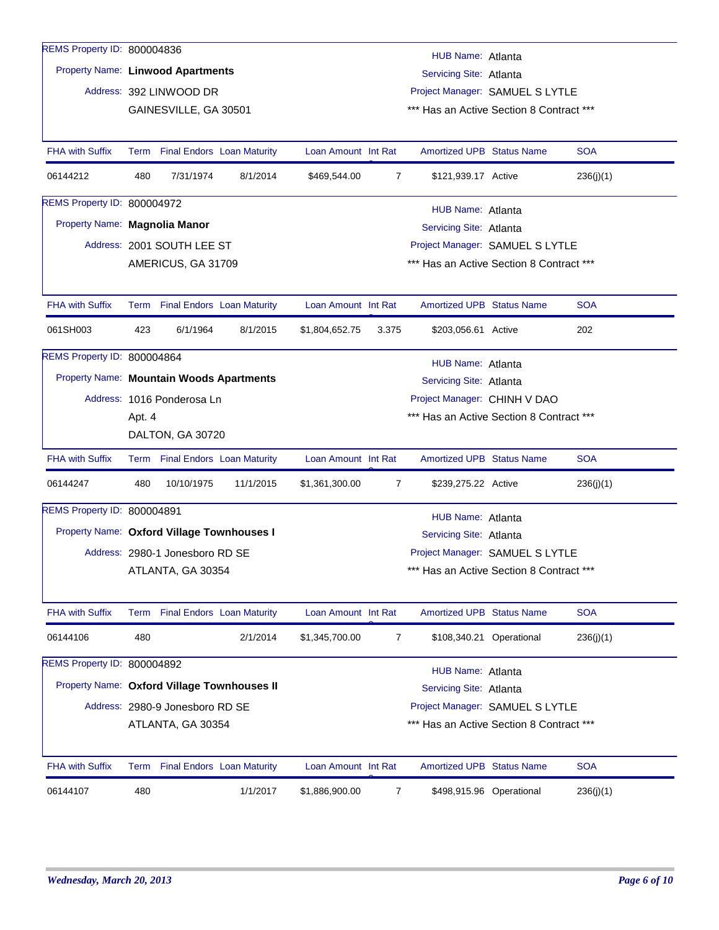| REMS Property ID: 800004836                 |                                                                |                                 |                                 |                     |                | HUB Name: Atlanta                        |                          |            |  |  |
|---------------------------------------------|----------------------------------------------------------------|---------------------------------|---------------------------------|---------------------|----------------|------------------------------------------|--------------------------|------------|--|--|
| Property Name: Linwood Apartments           |                                                                |                                 |                                 |                     |                | Servicing Site: Atlanta                  |                          |            |  |  |
|                                             |                                                                | Address: 392 LINWOOD DR         |                                 |                     |                | Project Manager: SAMUEL S LYTLE          |                          |            |  |  |
|                                             |                                                                | GAINESVILLE, GA 30501           |                                 |                     |                | *** Has an Active Section 8 Contract *** |                          |            |  |  |
|                                             |                                                                |                                 |                                 |                     |                |                                          |                          |            |  |  |
| <b>FHA with Suffix</b>                      |                                                                | Term Final Endors Loan Maturity |                                 | Loan Amount Int Rat |                | <b>Amortized UPB Status Name</b>         |                          | <b>SOA</b> |  |  |
| 06144212                                    | 480                                                            | 7/31/1974                       | 8/1/2014                        | \$469,544.00        | $\overline{7}$ | \$121,939.17 Active                      |                          | 236(j)(1)  |  |  |
| REMS Property ID: 800004972                 |                                                                |                                 |                                 |                     |                | HUB Name: Atlanta                        |                          |            |  |  |
| Property Name: Magnolia Manor               |                                                                |                                 |                                 |                     |                | Servicing Site: Atlanta                  |                          |            |  |  |
|                                             |                                                                | Address: 2001 SOUTH LEE ST      |                                 |                     |                | Project Manager: SAMUEL S LYTLE          |                          |            |  |  |
|                                             | AMERICUS, GA 31709<br>*** Has an Active Section 8 Contract *** |                                 |                                 |                     |                |                                          |                          |            |  |  |
|                                             |                                                                |                                 |                                 |                     |                |                                          |                          |            |  |  |
| <b>FHA with Suffix</b>                      |                                                                | Term Final Endors Loan Maturity |                                 | Loan Amount Int Rat |                | <b>Amortized UPB Status Name</b>         |                          | <b>SOA</b> |  |  |
| 061SH003                                    | 423                                                            | 6/1/1964                        | 8/1/2015                        | \$1,804,652.75      | 3.375          | \$203,056.61 Active                      |                          | 202        |  |  |
| REMS Property ID: 800004864                 |                                                                | HUB Name: Atlanta               |                                 |                     |                |                                          |                          |            |  |  |
| Property Name: Mountain Woods Apartments    |                                                                |                                 |                                 |                     |                | Servicing Site: Atlanta                  |                          |            |  |  |
|                                             |                                                                | Address: 1016 Ponderosa Ln      |                                 |                     |                | Project Manager: CHINH V DAO             |                          |            |  |  |
|                                             | Apt. 4                                                         |                                 |                                 |                     |                | *** Has an Active Section 8 Contract *** |                          |            |  |  |
|                                             |                                                                | DALTON, GA 30720                |                                 |                     |                |                                          |                          |            |  |  |
| <b>FHA with Suffix</b>                      |                                                                |                                 | Term Final Endors Loan Maturity | Loan Amount Int Rat |                | <b>Amortized UPB Status Name</b>         |                          | <b>SOA</b> |  |  |
| 06144247                                    | 480                                                            | 10/10/1975                      | 11/1/2015                       | \$1,361,300.00      | 7              | \$239,275.22 Active                      |                          | 236(j)(1)  |  |  |
| REMS Property ID: 800004891                 |                                                                |                                 |                                 |                     |                | HUB Name: Atlanta                        |                          |            |  |  |
| Property Name: Oxford Village Townhouses I  |                                                                |                                 |                                 |                     |                | Servicing Site: Atlanta                  |                          |            |  |  |
|                                             |                                                                | Address: 2980-1 Jonesboro RD SE |                                 |                     |                | Project Manager: SAMUEL S LYTLE          |                          |            |  |  |
|                                             |                                                                | ATLANTA, GA 30354               |                                 |                     |                | *** Has an Active Section 8 Contract *** |                          |            |  |  |
|                                             |                                                                |                                 |                                 |                     |                |                                          |                          |            |  |  |
| FHA with Suffix                             |                                                                |                                 | Term Final Endors Loan Maturity | Loan Amount Int Rat |                | <b>Amortized UPB Status Name</b>         |                          | <b>SOA</b> |  |  |
| 06144106                                    | 480                                                            |                                 | 2/1/2014                        | \$1,345,700.00      | 7              |                                          | \$108,340.21 Operational | 236(j)(1)  |  |  |
| REMS Property ID: 800004892                 |                                                                |                                 |                                 |                     |                | <b>HUB Name: Atlanta</b>                 |                          |            |  |  |
| Property Name: Oxford Village Townhouses II |                                                                |                                 |                                 |                     |                | Servicing Site: Atlanta                  |                          |            |  |  |
|                                             |                                                                | Address: 2980-9 Jonesboro RD SE |                                 |                     |                | Project Manager: SAMUEL S LYTLE          |                          |            |  |  |
|                                             |                                                                | ATLANTA, GA 30354               |                                 |                     |                | *** Has an Active Section 8 Contract *** |                          |            |  |  |
|                                             |                                                                |                                 |                                 |                     |                |                                          |                          |            |  |  |
| <b>FHA with Suffix</b>                      |                                                                |                                 | Term Final Endors Loan Maturity | Loan Amount Int Rat |                | <b>Amortized UPB Status Name</b>         |                          | <b>SOA</b> |  |  |
| 06144107                                    | 480                                                            |                                 | 1/1/2017                        | \$1,886,900.00      | 7              |                                          | \$498,915.96 Operational | 236(j)(1)  |  |  |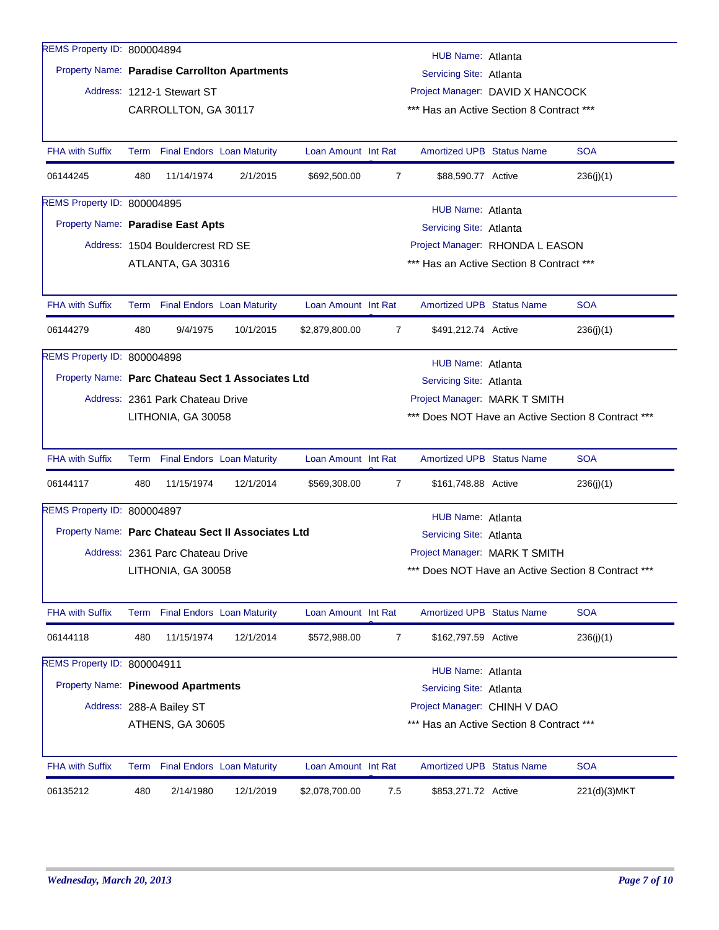| REMS Property ID: 800004894        |      |                                  |                                                    |                     |                                          | HUB Name: Atlanta                                   |  |                                                    |  |  |  |
|------------------------------------|------|----------------------------------|----------------------------------------------------|---------------------|------------------------------------------|-----------------------------------------------------|--|----------------------------------------------------|--|--|--|
|                                    |      |                                  | Property Name: Paradise Carrollton Apartments      |                     |                                          | Servicing Site: Atlanta                             |  |                                                    |  |  |  |
|                                    |      | Address: 1212-1 Stewart ST       |                                                    |                     |                                          | Project Manager: DAVID X HANCOCK                    |  |                                                    |  |  |  |
|                                    |      | CARROLLTON, GA 30117             |                                                    |                     | *** Has an Active Section 8 Contract *** |                                                     |  |                                                    |  |  |  |
|                                    |      |                                  |                                                    |                     |                                          |                                                     |  |                                                    |  |  |  |
| <b>FHA with Suffix</b>             |      | Term Final Endors Loan Maturity  |                                                    | Loan Amount Int Rat |                                          | <b>Amortized UPB Status Name</b>                    |  | <b>SOA</b>                                         |  |  |  |
| 06144245                           | 480  | 11/14/1974                       | 2/1/2015                                           | \$692,500.00        | $\overline{7}$                           | \$88,590.77 Active                                  |  | 236(j)(1)                                          |  |  |  |
| REMS Property ID: 800004895        |      |                                  |                                                    |                     |                                          | HUB Name: Atlanta                                   |  |                                                    |  |  |  |
| Property Name: Paradise East Apts  |      |                                  |                                                    |                     |                                          | Servicing Site: Atlanta                             |  |                                                    |  |  |  |
|                                    |      | Address: 1504 Bouldercrest RD SE |                                                    |                     |                                          | Project Manager: RHONDA L EASON                     |  |                                                    |  |  |  |
|                                    |      | ATLANTA, GA 30316                |                                                    |                     |                                          | *** Has an Active Section 8 Contract ***            |  |                                                    |  |  |  |
|                                    |      |                                  |                                                    |                     |                                          |                                                     |  |                                                    |  |  |  |
| <b>FHA with Suffix</b>             |      | Term Final Endors Loan Maturity  |                                                    | Loan Amount Int Rat |                                          | <b>Amortized UPB Status Name</b>                    |  | <b>SOA</b>                                         |  |  |  |
| 06144279                           | 480  | 9/4/1975                         | 10/1/2015                                          | \$2,879,800.00      | $\overline{7}$                           | \$491,212.74 Active                                 |  | 236(j)(1)                                          |  |  |  |
| REMS Property ID: 800004898        |      | HUB Name: Atlanta                |                                                    |                     |                                          |                                                     |  |                                                    |  |  |  |
|                                    |      |                                  | Property Name: Parc Chateau Sect 1 Associates Ltd  |                     |                                          | Servicing Site: Atlanta                             |  |                                                    |  |  |  |
|                                    |      | Address: 2361 Park Chateau Drive |                                                    |                     |                                          | Project Manager: MARK T SMITH                       |  |                                                    |  |  |  |
|                                    |      | LITHONIA, GA 30058               |                                                    |                     |                                          |                                                     |  | *** Does NOT Have an Active Section 8 Contract *** |  |  |  |
|                                    |      |                                  |                                                    |                     |                                          |                                                     |  |                                                    |  |  |  |
| <b>FHA with Suffix</b>             | Term |                                  | <b>Final Endors Loan Maturity</b>                  | Loan Amount Int Rat |                                          | <b>Amortized UPB Status Name</b>                    |  | <b>SOA</b>                                         |  |  |  |
| 06144117                           | 480  | 11/15/1974                       | 12/1/2014                                          | \$569,308.00        | 7                                        | \$161,748.88 Active                                 |  | 236(j)(1)                                          |  |  |  |
| REMS Property ID: 800004897        |      |                                  |                                                    |                     |                                          |                                                     |  |                                                    |  |  |  |
|                                    |      |                                  | Property Name: Parc Chateau Sect II Associates Ltd |                     |                                          | <b>HUB Name: Atlanta</b><br>Servicing Site: Atlanta |  |                                                    |  |  |  |
|                                    |      | Address: 2361 Parc Chateau Drive |                                                    |                     |                                          | Project Manager: MARK T SMITH                       |  |                                                    |  |  |  |
|                                    |      | LITHONIA, GA 30058               |                                                    |                     |                                          |                                                     |  | *** Does NOT Have an Active Section 8 Contract *** |  |  |  |
|                                    |      |                                  |                                                    |                     |                                          |                                                     |  |                                                    |  |  |  |
| FHA with Suffix                    |      | Term Final Endors Loan Maturity  |                                                    | Loan Amount Int Rat |                                          | Amortized UPB Status Name                           |  | <b>SOA</b>                                         |  |  |  |
| 06144118                           | 480  | 11/15/1974                       | 12/1/2014                                          | \$572,988.00        | 7                                        | \$162,797.59 Active                                 |  | 236(j)(1)                                          |  |  |  |
| REMS Property ID: 800004911        |      |                                  |                                                    |                     |                                          | <b>HUB Name: Atlanta</b>                            |  |                                                    |  |  |  |
| Property Name: Pinewood Apartments |      |                                  |                                                    |                     |                                          | Servicing Site: Atlanta                             |  |                                                    |  |  |  |
|                                    |      | Address: 288-A Bailey ST         |                                                    |                     |                                          | Project Manager: CHINH V DAO                        |  |                                                    |  |  |  |
|                                    |      | ATHENS, GA 30605                 |                                                    |                     |                                          | *** Has an Active Section 8 Contract ***            |  |                                                    |  |  |  |
|                                    |      |                                  |                                                    |                     |                                          |                                                     |  |                                                    |  |  |  |
| <b>FHA with Suffix</b>             |      | Term Final Endors Loan Maturity  |                                                    | Loan Amount Int Rat |                                          | <b>Amortized UPB Status Name</b>                    |  | <b>SOA</b>                                         |  |  |  |
| 06135212                           | 480  | 2/14/1980                        | 12/1/2019                                          | \$2,078,700.00      | 7.5                                      | \$853,271.72 Active                                 |  | 221(d)(3)MKT                                       |  |  |  |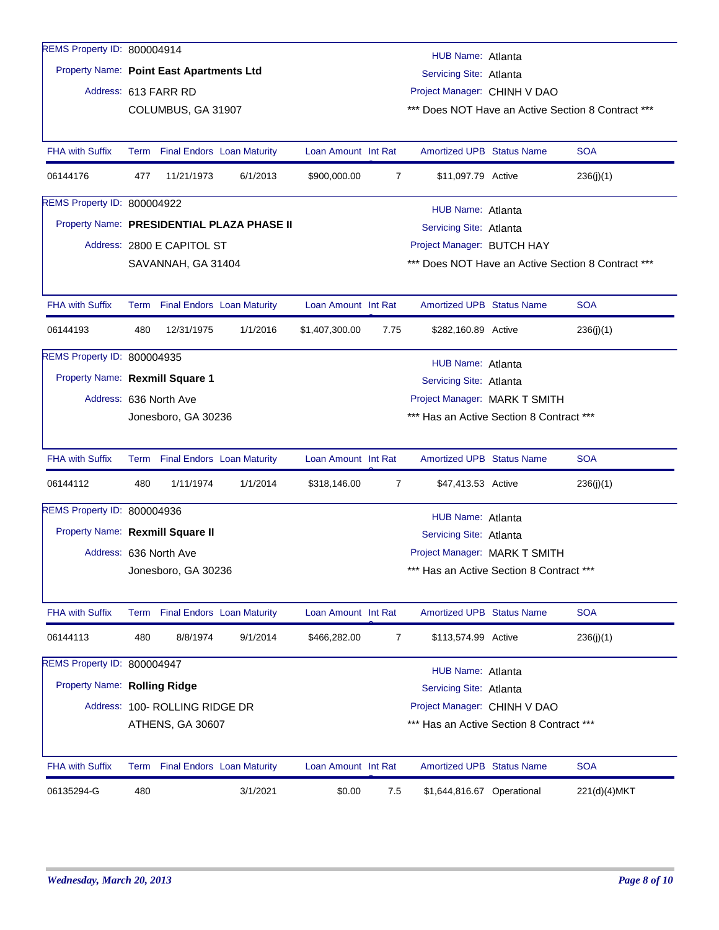| REMS Property ID: 800004914              |                                                                 |                                 |                                            |                               |                | HUB Name: Atlanta                        |  |                                                    |  |
|------------------------------------------|-----------------------------------------------------------------|---------------------------------|--------------------------------------------|-------------------------------|----------------|------------------------------------------|--|----------------------------------------------------|--|
| Property Name: Point East Apartments Ltd |                                                                 |                                 |                                            |                               |                | Servicing Site: Atlanta                  |  |                                                    |  |
|                                          |                                                                 | Address: 613 FARR RD            |                                            |                               |                | Project Manager: CHINH V DAO             |  |                                                    |  |
|                                          |                                                                 | COLUMBUS, GA 31907              |                                            |                               |                |                                          |  | *** Does NOT Have an Active Section 8 Contract *** |  |
|                                          |                                                                 |                                 |                                            |                               |                |                                          |  |                                                    |  |
| <b>FHA with Suffix</b>                   |                                                                 | Term Final Endors Loan Maturity |                                            | Loan Amount Int Rat           |                | <b>Amortized UPB Status Name</b>         |  | <b>SOA</b>                                         |  |
| 06144176                                 | 477                                                             | 11/21/1973                      | 6/1/2013                                   | \$900,000.00                  | $\overline{7}$ | \$11,097.79 Active                       |  | 236(j)(1)                                          |  |
| REMS Property ID: 800004922              |                                                                 |                                 |                                            |                               |                | HUB Name: Atlanta                        |  |                                                    |  |
|                                          |                                                                 |                                 | Property Name: PRESIDENTIAL PLAZA PHASE II |                               |                | Servicing Site: Atlanta                  |  |                                                    |  |
|                                          |                                                                 | Address: 2800 E CAPITOL ST      |                                            |                               |                | Project Manager: BUTCH HAY               |  |                                                    |  |
|                                          |                                                                 | SAVANNAH, GA 31404              |                                            |                               |                |                                          |  | *** Does NOT Have an Active Section 8 Contract *** |  |
|                                          |                                                                 |                                 |                                            |                               |                |                                          |  |                                                    |  |
| <b>FHA with Suffix</b>                   |                                                                 | Term Final Endors Loan Maturity |                                            | Loan Amount Int Rat           |                | <b>Amortized UPB Status Name</b>         |  | <b>SOA</b>                                         |  |
| 06144193                                 | 480                                                             | 12/31/1975                      | 1/1/2016                                   | \$1,407,300.00                | 7.75           | \$282,160.89 Active                      |  | 236(j)(1)                                          |  |
| REMS Property ID: 800004935              |                                                                 |                                 |                                            |                               |                | HUB Name: Atlanta                        |  |                                                    |  |
| Property Name: Rexmill Square 1          |                                                                 |                                 |                                            |                               |                | Servicing Site: Atlanta                  |  |                                                    |  |
|                                          |                                                                 | Address: 636 North Ave          |                                            | Project Manager: MARK T SMITH |                |                                          |  |                                                    |  |
|                                          | *** Has an Active Section 8 Contract ***<br>Jonesboro, GA 30236 |                                 |                                            |                               |                |                                          |  |                                                    |  |
|                                          |                                                                 |                                 |                                            |                               |                |                                          |  |                                                    |  |
| <b>FHA with Suffix</b>                   |                                                                 | Term Final Endors Loan Maturity |                                            | Loan Amount Int Rat           |                | <b>Amortized UPB Status Name</b>         |  | <b>SOA</b>                                         |  |
| 06144112                                 | 480                                                             | 1/11/1974                       | 1/1/2014                                   | \$318,146.00                  | 7              | \$47,413.53 Active                       |  | 236(j)(1)                                          |  |
| REMS Property ID: 800004936              |                                                                 |                                 |                                            |                               |                | <b>HUB Name: Atlanta</b>                 |  |                                                    |  |
| Property Name: Rexmill Square II         |                                                                 |                                 |                                            |                               |                | Servicing Site: Atlanta                  |  |                                                    |  |
|                                          |                                                                 | Address: 636 North Ave          |                                            |                               |                | Project Manager: MARK T SMITH            |  |                                                    |  |
|                                          |                                                                 | Jonesboro, GA 30236             |                                            |                               |                | *** Has an Active Section 8 Contract *** |  |                                                    |  |
|                                          |                                                                 |                                 |                                            |                               |                |                                          |  |                                                    |  |
| <b>FHA with Suffix</b>                   |                                                                 | Term Final Endors Loan Maturity |                                            | Loan Amount Int Rat           |                | <b>Amortized UPB Status Name</b>         |  | <b>SOA</b>                                         |  |
| 06144113                                 | 480                                                             | 8/8/1974                        | 9/1/2014                                   | \$466,282.00                  | 7              | \$113,574.99 Active                      |  | 236(j)(1)                                          |  |
| REMS Property ID: 800004947              |                                                                 |                                 |                                            |                               |                | HUB Name: Atlanta                        |  |                                                    |  |
| Property Name: Rolling Ridge             |                                                                 |                                 |                                            |                               |                | Servicing Site: Atlanta                  |  |                                                    |  |
|                                          |                                                                 | Address: 100- ROLLING RIDGE DR  |                                            |                               |                | Project Manager: CHINH V DAO             |  |                                                    |  |
|                                          |                                                                 | ATHENS, GA 30607                |                                            |                               |                | *** Has an Active Section 8 Contract *** |  |                                                    |  |
|                                          |                                                                 |                                 |                                            |                               |                |                                          |  |                                                    |  |
| <b>FHA with Suffix</b>                   |                                                                 | Term Final Endors Loan Maturity |                                            | Loan Amount Int Rat           |                | <b>Amortized UPB Status Name</b>         |  | <b>SOA</b>                                         |  |
| 06135294-G                               | 480                                                             |                                 | 3/1/2021                                   | \$0.00                        | 7.5            | \$1,644,816.67 Operational               |  | 221(d)(4)MKT                                       |  |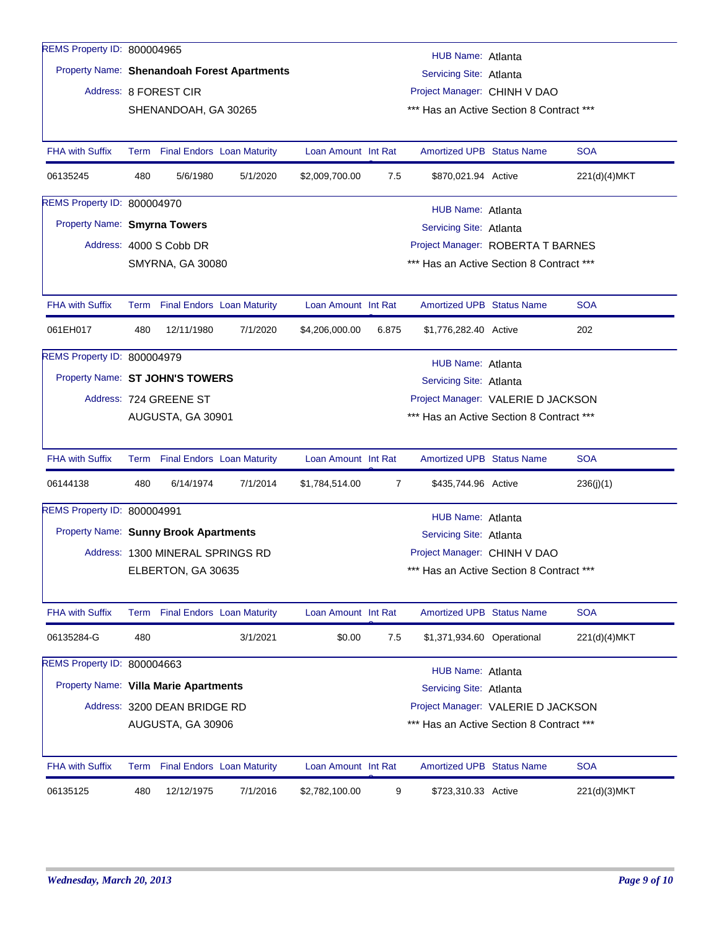| REMS Property ID: 800004965           |                                                               |                                  |                                             |                     |       | HUB Name: Atlanta                        |  |              |  |  |  |
|---------------------------------------|---------------------------------------------------------------|----------------------------------|---------------------------------------------|---------------------|-------|------------------------------------------|--|--------------|--|--|--|
|                                       |                                                               |                                  | Property Name: Shenandoah Forest Apartments |                     |       | Servicing Site: Atlanta                  |  |              |  |  |  |
|                                       |                                                               | Address: 8 FOREST CIR            |                                             |                     |       | Project Manager: CHINH V DAO             |  |              |  |  |  |
|                                       |                                                               | SHENANDOAH, GA 30265             |                                             |                     |       | *** Has an Active Section 8 Contract *** |  |              |  |  |  |
|                                       |                                                               |                                  |                                             |                     |       |                                          |  |              |  |  |  |
| <b>FHA with Suffix</b>                |                                                               |                                  | Term Final Endors Loan Maturity             | Loan Amount Int Rat |       | <b>Amortized UPB Status Name</b>         |  | <b>SOA</b>   |  |  |  |
| 06135245                              | 480                                                           | 5/6/1980                         | 5/1/2020                                    | \$2,009,700.00      | 7.5   | \$870,021.94 Active                      |  | 221(d)(4)MKT |  |  |  |
| REMS Property ID: 800004970           |                                                               |                                  |                                             |                     |       | HUB Name: Atlanta                        |  |              |  |  |  |
| Property Name: Smyrna Towers          |                                                               |                                  |                                             |                     |       | Servicing Site: Atlanta                  |  |              |  |  |  |
|                                       |                                                               | Address: 4000 S Cobb DR          |                                             |                     |       | Project Manager: ROBERTA T BARNES        |  |              |  |  |  |
|                                       |                                                               | <b>SMYRNA, GA 30080</b>          |                                             |                     |       | *** Has an Active Section 8 Contract *** |  |              |  |  |  |
|                                       |                                                               |                                  |                                             |                     |       |                                          |  |              |  |  |  |
| <b>FHA with Suffix</b>                | Term                                                          |                                  | <b>Final Endors Loan Maturity</b>           | Loan Amount Int Rat |       | <b>Amortized UPB Status Name</b>         |  | <b>SOA</b>   |  |  |  |
| 061EH017                              | 480                                                           | 12/11/1980                       | 7/1/2020                                    | \$4,206,000.00      | 6.875 | \$1,776,282.40 Active                    |  | 202          |  |  |  |
| REMS Property ID: 800004979           |                                                               | HUB Name: Atlanta                |                                             |                     |       |                                          |  |              |  |  |  |
| Property Name: ST JOHN'S TOWERS       |                                                               |                                  |                                             |                     |       | Servicing Site: Atlanta                  |  |              |  |  |  |
|                                       |                                                               | Address: 724 GREENE ST           |                                             |                     |       | Project Manager: VALERIE D JACKSON       |  |              |  |  |  |
|                                       | *** Has an Active Section 8 Contract ***<br>AUGUSTA, GA 30901 |                                  |                                             |                     |       |                                          |  |              |  |  |  |
|                                       |                                                               |                                  |                                             |                     |       |                                          |  |              |  |  |  |
| <b>FHA with Suffix</b>                |                                                               |                                  | Term Final Endors Loan Maturity             | Loan Amount Int Rat |       | <b>Amortized UPB Status Name</b>         |  | <b>SOA</b>   |  |  |  |
| 06144138                              | 480                                                           | 6/14/1974                        | 7/1/2014                                    | \$1,784,514.00      | 7     | \$435,744.96 Active                      |  | 236(j)(1)    |  |  |  |
| REMS Property ID: 800004991           |                                                               |                                  |                                             |                     |       | HUB Name: Atlanta                        |  |              |  |  |  |
| Property Name: Sunny Brook Apartments |                                                               |                                  |                                             |                     |       | Servicing Site: Atlanta                  |  |              |  |  |  |
|                                       |                                                               | Address: 1300 MINERAL SPRINGS RD |                                             |                     |       | Project Manager: CHINH V DAO             |  |              |  |  |  |
|                                       |                                                               | ELBERTON, GA 30635               |                                             |                     |       | *** Has an Active Section 8 Contract *** |  |              |  |  |  |
|                                       |                                                               |                                  |                                             |                     |       |                                          |  |              |  |  |  |
| <b>FHA with Suffix</b>                |                                                               |                                  | Term Final Endors Loan Maturity             | Loan Amount Int Rat |       | <b>Amortized UPB Status Name</b>         |  | <b>SOA</b>   |  |  |  |
| 06135284-G                            | 480                                                           |                                  | 3/1/2021                                    | \$0.00              | 7.5   | \$1,371,934.60 Operational               |  | 221(d)(4)MKT |  |  |  |
| REMS Property ID: 800004663           |                                                               |                                  |                                             |                     |       | HUB Name: Atlanta                        |  |              |  |  |  |
| Property Name: Villa Marie Apartments |                                                               |                                  |                                             |                     |       | Servicing Site: Atlanta                  |  |              |  |  |  |
|                                       |                                                               | Address: 3200 DEAN BRIDGE RD     |                                             |                     |       | Project Manager: VALERIE D JACKSON       |  |              |  |  |  |
|                                       |                                                               | AUGUSTA, GA 30906                |                                             |                     |       | *** Has an Active Section 8 Contract *** |  |              |  |  |  |
|                                       |                                                               |                                  |                                             |                     |       |                                          |  |              |  |  |  |
| <b>FHA with Suffix</b>                |                                                               |                                  | Term Final Endors Loan Maturity             | Loan Amount Int Rat |       | <b>Amortized UPB Status Name</b>         |  | <b>SOA</b>   |  |  |  |
| 06135125                              | 480                                                           | 12/12/1975                       | 7/1/2016                                    | \$2,782,100.00      | 9     | \$723,310.33 Active                      |  | 221(d)(3)MKT |  |  |  |